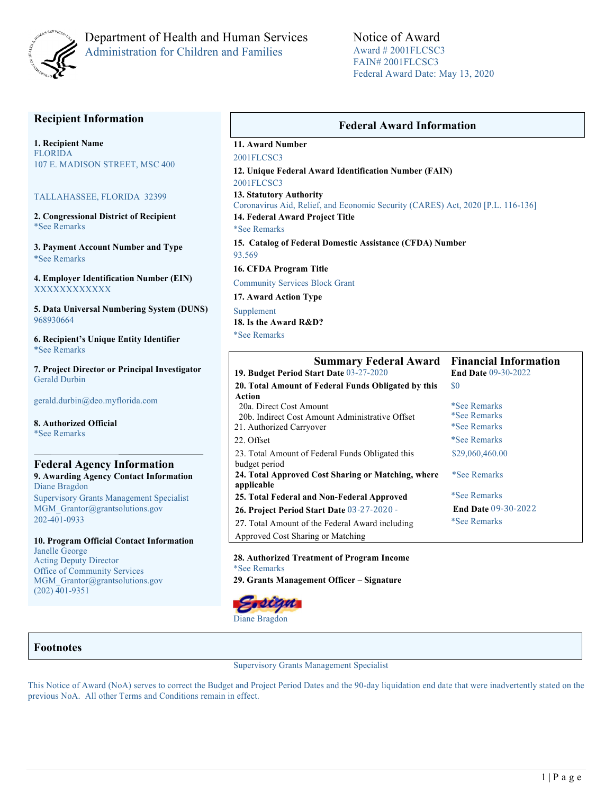

## Department of Health and Human Services Administration for Children and Families

Notice of Award Award # 2001FLCSC3 FAIN# 2001FLCSC3 Federal Award Date: May 13, 2020

## **Recipient Information**

**1. Recipient Name** FLORIDA 107 E. MADISON STREET, MSC 400

#### TALLAHASSEE, FLORIDA 32399

**2. Congressional District of Recipient**  \*See Remarks

**3. Payment Account Number and Type** \*See Remarks

**4. Employer Identification Number (EIN)** XXXXXXXXXXXX

**5. Data Universal Numbering System (DUNS)**  968930664

**6. Recipient's Unique Entity Identifier**  \*See Remarks

**7. Project Director or Principal Investigator**  Gerald Durbin

gerald.durbin@deo.myflorida.com

**8. Authorized Official**  \*See Remarks

#### **Federal Agency Information 9. Awarding Agency Contact Information** Diane Bragdon Supervisory Grants Management Specialist MGM Grantor@grantsolutions.gov 202-401-0933

**10. Program Official Contact Information** Janelle George Acting Deputy Director Office of Community Services MGM Grantor@grantsolutions.gov (202) 401-9351

### **Federal Award Information**

**11. Award Number**

2001FLCSC3 **12. Unique Federal Award Identification Number (FAIN)**  2001FLCSC3

**13. Statutory Authority** 

Coronavirus Aid, Relief, and Economic Security (CARES) Act, 2020 [P.L. 116-136]

**14. Federal Award Project Title** 

\*See Remarks

**15. Catalog of Federal Domestic Assistance (CFDA) Number**  93.569

**16. CFDA Program Title** 

Community Services Block Grant

**17. Award Action Type** 

Supplement **18. Is the Award R&D?**  \*See Remarks

| <b>Summary Federal Award</b>                        | <b>Financial Information</b> |  |  |
|-----------------------------------------------------|------------------------------|--|--|
| 19. Budget Period Start Date 03-27-2020             | <b>End Date 09-30-2022</b>   |  |  |
| 20. Total Amount of Federal Funds Obligated by this | \$0                          |  |  |
| Action                                              |                              |  |  |
| 20a. Direct Cost Amount                             | *See Remarks                 |  |  |
| 20b. Indirect Cost Amount Administrative Offset     | <i>*See Remarks</i>          |  |  |
| 21. Authorized Carryover                            | <i>*See Remarks</i>          |  |  |
| 22. Offset                                          | <i>*See Remarks</i>          |  |  |
| 23. Total Amount of Federal Funds Obligated this    | \$29,060,460.00              |  |  |
| budget period                                       |                              |  |  |
| 24. Total Approved Cost Sharing or Matching, where  | *See Remarks                 |  |  |
| applicable                                          |                              |  |  |
| 25. Total Federal and Non-Federal Approved          | <i>*See Remarks</i>          |  |  |
| 26. Project Period Start Date 03-27-2020 -          | <b>End Date 09-30-2022</b>   |  |  |
| 27. Total Amount of the Federal Award including     | <i>*See Remarks</i>          |  |  |
| Approved Cost Sharing or Matching                   |                              |  |  |

#### **28. Authorized Treatment of Program Income**  \*See Remarks **29. Grants Management Officer – Signature**



### **Footnotes**

Supervisory Grants Management Specialist

This Notice of Award (NoA) serves to correct the Budget and Project Period Dates and the 90-day liquidation end date that were inadvertently stated on the previous NoA. All other Terms and Conditions remain in effect.